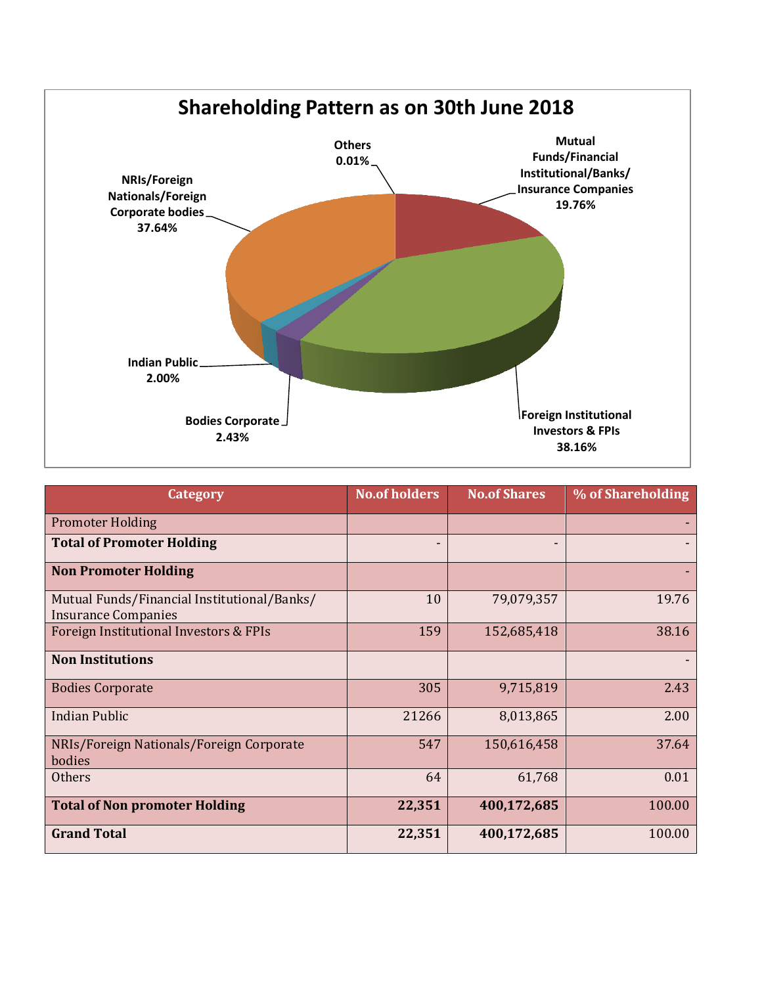

| Category                                                                  | <b>No.of holders</b> | <b>No.of Shares</b> | % of Shareholding |
|---------------------------------------------------------------------------|----------------------|---------------------|-------------------|
| <b>Promoter Holding</b>                                                   |                      |                     |                   |
| <b>Total of Promoter Holding</b>                                          | -                    | ٠                   |                   |
| <b>Non Promoter Holding</b>                                               |                      |                     |                   |
| Mutual Funds/Financial Institutional/Banks/<br><b>Insurance Companies</b> | 10                   | 79,079,357          | 19.76             |
| Foreign Institutional Investors & FPIs                                    | 159                  | 152,685,418         | 38.16             |
| <b>Non Institutions</b>                                                   |                      |                     |                   |
| <b>Bodies Corporate</b>                                                   | 305                  | 9,715,819           | 2.43              |
| <b>Indian Public</b>                                                      | 21266                | 8,013,865           | 2.00              |
| NRIs/Foreign Nationals/Foreign Corporate<br>bodies                        | 547                  | 150,616,458         | 37.64             |
| <b>Others</b>                                                             | 64                   | 61,768              | 0.01              |
| <b>Total of Non promoter Holding</b>                                      | 22,351               | 400,172,685         | 100.00            |
| <b>Grand Total</b>                                                        | 22,351               | 400,172,685         | 100.00            |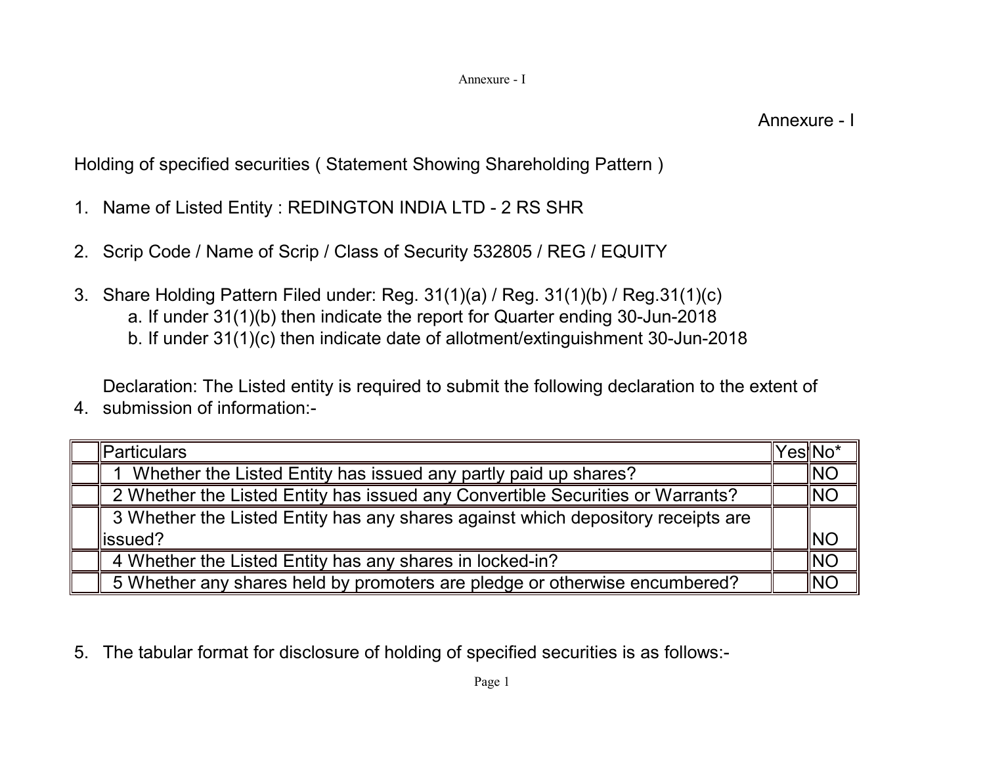Holding of specified securities ( Statement Showing Shareholding Pattern )

- 1. Name of Listed Entity : REDINGTON INDIA LTD 2 RS SHR
- 2. Scrip Code / Name of Scrip / Class of Security 532805 / REG / EQUITY
- 3. Share Holding Pattern Filed under: Reg. 31(1)(a) / Reg. 31(1)(b) / Reg.31(1)(c)
	- a. If under 31(1)(b) then indicate the report for Quarter ending 30-Jun-2018
	- b. If under 31(1)(c) then indicate date of allotment/extinguishment 30-Jun-2018

4. submission of information:- Declaration: The Listed entity is required to submit the following declaration to the extent of

| lParticulars                                                                     | ′es∥No*    |
|----------------------------------------------------------------------------------|------------|
| Whether the Listed Entity has issued any partly paid up shares?                  | INO        |
| 2 Whether the Listed Entity has issued any Convertible Securities or Warrants?   | INO        |
| 3 Whether the Listed Entity has any shares against which depository receipts are |            |
| lissued?                                                                         | <b>INO</b> |
| 4 Whether the Listed Entity has any shares in locked-in?                         | INO        |
| 5 Whether any shares held by promoters are pledge or otherwise encumbered?       | NO         |

5. The tabular format for disclosure of holding of specified securities is as follows:-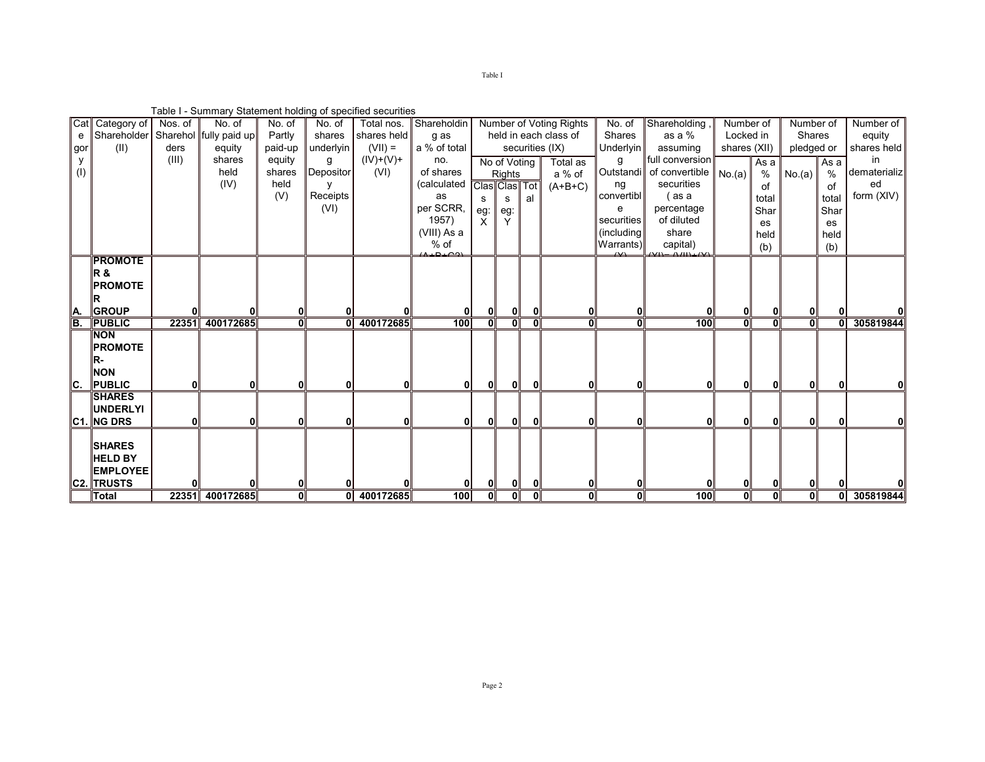Table I - Summary Statement holding of specified securities

|     | Cat Category of  | Nos. of | No. of                             | No. of       | No. of       | Total nos.  | Shareholdin  |               |                |                | Number of Voting Rights | No. of        | Shareholding             | Number of               |                | Number of      |       | Number of    |
|-----|------------------|---------|------------------------------------|--------------|--------------|-------------|--------------|---------------|----------------|----------------|-------------------------|---------------|--------------------------|-------------------------|----------------|----------------|-------|--------------|
| е   |                  |         | Shareholder Sharehol fully paid up | Partly       | shares       | shares held | g as         |               |                |                | held in each class of   | <b>Shares</b> | as a $%$                 | Locked in               |                | <b>Shares</b>  |       | equity       |
| gor | (II)             | ders    | equity                             | paid-up      | underlyin    | $(VII) =$   | a % of total |               |                |                | securities (IX)         | Underlyin     | assuming                 | shares (XII)            |                | pledged or     |       | shares held  |
|     |                  | (III)   | shares                             | equity       | g            | $(IV)+(V)+$ | no.          |               | No of Voting   |                | Total as                | g             | full conversion          |                         | As a           |                | As a  | in.          |
| (1) |                  |         | held                               | shares       | Depositor    | (VI)        | of shares    |               | Rights         |                | a % of                  |               | Outstandi of convertible | No.(a)                  | %              | No.(a)         | $\%$  | dematerializ |
|     |                  |         | (IV)                               | held         |              |             | (calculated  | Clas Clas Tot |                |                | $(A+B+C)$               | ng            | securities               |                         | of             |                | of    | ed           |
|     |                  |         |                                    | (V)          | Receipts     |             | as           | s             | s              | al             |                         | convertibl    | ( as a                   |                         | total          |                | total | form (XIV)   |
|     |                  |         |                                    |              | (VI)         |             | per SCRR,    | eg:           | eg:            |                |                         | e             | percentage               |                         | Shar           |                | Shar  |              |
|     |                  |         |                                    |              |              |             | 1957)        | X             |                |                |                         | securities    | of diluted               |                         | es             |                | es    |              |
|     |                  |         |                                    |              |              |             | (VIII) As a  |               |                |                |                         | (including    | share                    |                         | held           |                | held  |              |
|     |                  |         |                                    |              |              |             | % of         |               |                |                |                         | Warrants)     | capital)                 |                         | (b)            |                | (b)   |              |
|     | <b>PROMOTE</b>   |         |                                    |              |              |             |              |               |                |                |                         |               |                          |                         |                |                |       |              |
|     | IR &             |         |                                    |              |              |             |              |               |                |                |                         |               |                          |                         |                |                |       |              |
|     |                  |         |                                    |              |              |             |              |               |                |                |                         |               |                          |                         |                |                |       |              |
|     | <b>PROMOTE</b>   |         |                                    |              |              |             |              |               |                |                |                         |               |                          |                         |                |                |       |              |
|     | IR               |         |                                    |              |              |             |              |               |                |                |                         |               |                          |                         |                |                |       |              |
| IA. | <b>GROUP</b>     |         |                                    | $\mathbf{0}$ |              |             |              | Οl            | 01             |                | 0                       |               |                          | 01                      | 0              |                |       |              |
| IB. | <b>PUBLIC</b>    |         | 22351 400172685                    | 0            | 0            | 400172685   | 100          | ol            | $\overline{0}$ | $\overline{0}$ | 0                       | 0             | 100                      | $\overline{\mathbf{0}}$ | $\overline{0}$ | $\overline{0}$ |       | 305819844    |
|     | <b>INON</b>      |         |                                    |              |              |             |              |               |                |                |                         |               |                          |                         |                |                |       |              |
|     | <b>PROMOTE</b>   |         |                                    |              |              |             |              |               |                |                |                         |               |                          |                         |                |                |       |              |
|     | IR-              |         |                                    |              |              |             |              |               |                |                |                         |               |                          |                         |                |                |       |              |
|     | <b>NON</b>       |         |                                    |              |              |             |              |               |                |                |                         |               |                          |                         |                |                |       |              |
| IC. | <b>PUBLIC</b>    | 0l      | 0                                  | <b>0</b>     | $\mathbf{0}$ | 0           | 01           | ΟI            | οI             | <b>0</b>       | 0                       |               | 0                        | 01                      | 0              | 0              |       |              |
|     | <b>SHARES</b>    |         |                                    |              |              |             |              |               |                |                |                         |               |                          |                         |                |                |       |              |
|     | <b>IUNDERLYI</b> |         |                                    |              |              |             |              |               |                |                |                         |               |                          |                         |                |                |       |              |
|     | C1. NGDRS        |         | 0                                  | 0            |              | 0           | 01           | Οl            | 01             | 0              | 0                       |               |                          | 01                      | 0              |                |       |              |
|     |                  |         |                                    |              |              |             |              |               |                |                |                         |               |                          |                         |                |                |       |              |
|     | <b>SHARES</b>    |         |                                    |              |              |             |              |               |                |                |                         |               |                          |                         |                |                |       |              |
|     | <b>HELD BY</b>   |         |                                    |              |              |             |              |               |                |                |                         |               |                          |                         |                |                |       |              |
|     | <b>EMPLOYEE</b>  |         |                                    |              |              |             |              |               |                |                |                         |               |                          |                         |                |                |       |              |
|     | C2. TRUSTS       |         |                                    |              |              |             |              | $\mathbf{0}$  |                |                | 0                       |               |                          | 0                       |                |                |       |              |
|     | <b>Total</b>     |         | 22351 400172685                    | 0l           |              | 0 400172685 | 100          | οl            | οT             | οI             | 0                       | Ol            | 100                      | ग                       | σI             | ᇭ              |       | 305819844    |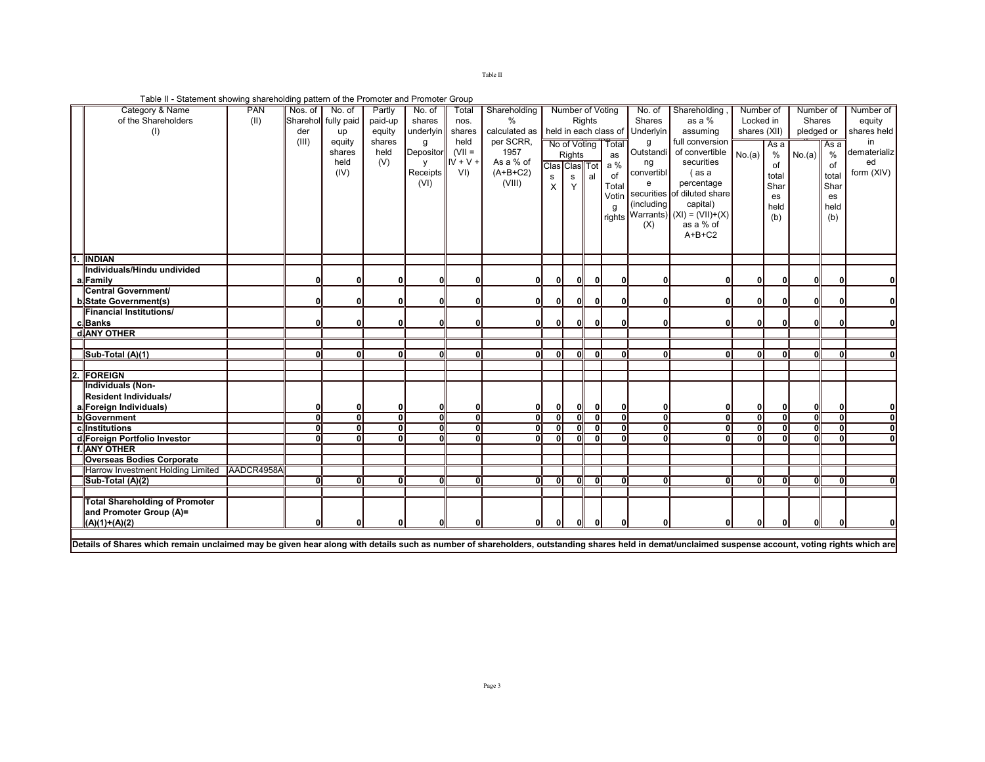Table II

Table II - Statement showing shareholding pattern of the Promoter and Promoter Group

| Category & Name                                                                                                                                                                                    | <b>PAN</b> | Nos. of      | No. of              | Partly       | No. of       | Total      | Shareholding  |                         | Number of Voting |               |                       | No. of        | Shareholding                        | Number of    |                | Number of    |               | Number of    |
|----------------------------------------------------------------------------------------------------------------------------------------------------------------------------------------------------|------------|--------------|---------------------|--------------|--------------|------------|---------------|-------------------------|------------------|---------------|-----------------------|---------------|-------------------------------------|--------------|----------------|--------------|---------------|--------------|
| of the Shareholders                                                                                                                                                                                | (II)       |              | Sharehol fully paid | paid-up      | shares       | nos.       | $\%$          |                         |                  | <b>Rights</b> |                       | <b>Shares</b> | as a %                              | Locked in    |                | Shares       |               | equity       |
| (1)                                                                                                                                                                                                |            | der          | up                  | equity       | underlyin    | shares     | calculated as |                         |                  |               | held in each class of | Underlyin     | assuming                            | shares (XII) |                | pledged or   |               | shares held  |
|                                                                                                                                                                                                    |            | (III)        | equity              | shares       |              | held       | per SCRR,     |                         |                  |               | No of Voting Total    | g             | full conversion                     |              | As a           |              | Asa           | in           |
|                                                                                                                                                                                                    |            |              | shares              | held         | Depositor    | $(VII =$   | 1957          |                         | Rights           |               | as                    | Outstandi     | of convertible                      | No.(a)       | $\frac{0}{0}$  | No.(a)       | $\frac{0}{0}$ | dematerializ |
|                                                                                                                                                                                                    |            |              | held                | (V)          | $\mathsf{v}$ | $IV + V +$ | As a % of     |                         | Clas Clas Tot    |               | a %                   | ng            | securities                          |              | of             |              | of            | ed           |
|                                                                                                                                                                                                    |            |              | (IV)                |              | Receipts     | VI)        | $(A+B+C2)$    | s                       | $\mathbf{s}$     | al            | of                    | convertibl    | (as a                               |              | total          |              | total         | form (XIV)   |
|                                                                                                                                                                                                    |            |              |                     |              | (VI)         |            | (VIII)        | $\times$                | Y                |               | Total                 | e             | percentage                          |              | Shar           |              | Shar          |              |
|                                                                                                                                                                                                    |            |              |                     |              |              |            |               |                         |                  |               | Votin                 |               | securities of diluted share         |              | es             |              | es            |              |
|                                                                                                                                                                                                    |            |              |                     |              |              |            |               |                         |                  |               |                       | (including    | capital)                            |              | held           |              | held          |              |
|                                                                                                                                                                                                    |            |              |                     |              |              |            |               |                         |                  |               |                       |               | rights Warrants) $(XI) = (VII)+(X)$ |              | (b)            |              | (b)           |              |
|                                                                                                                                                                                                    |            |              |                     |              |              |            |               |                         |                  |               |                       | (X)           | as a % of                           |              |                |              |               |              |
|                                                                                                                                                                                                    |            |              |                     |              |              |            |               |                         |                  |               |                       |               | $A+B+C2$                            |              |                |              |               |              |
|                                                                                                                                                                                                    |            |              |                     |              |              |            |               |                         |                  |               |                       |               |                                     |              |                |              |               |              |
| <b>TINDIAN</b>                                                                                                                                                                                     |            |              |                     |              |              |            |               |                         |                  |               |                       |               |                                     |              |                |              |               |              |
| Individuals/Hindu undivided                                                                                                                                                                        |            |              |                     |              |              |            |               |                         |                  |               |                       |               |                                     |              |                |              |               |              |
| alFamily                                                                                                                                                                                           |            | n            | ŋ                   | n            |              |            | 01            | 01                      | 0                | 0             |                       |               |                                     | 01           | 0              | $\Omega$     |               |              |
| Central Government/                                                                                                                                                                                |            |              |                     |              |              |            |               |                         |                  |               |                       |               |                                     |              |                |              |               |              |
| b State Government(s)                                                                                                                                                                              |            |              |                     | n            |              |            | οI            | οI                      |                  | 0l            | n                     | n             |                                     |              | $\Omega$       | <sup>0</sup> |               |              |
| <b>Financial Institutions/</b>                                                                                                                                                                     |            |              |                     |              |              |            |               |                         |                  |               |                       |               |                                     |              |                |              |               |              |
| c.Banks                                                                                                                                                                                            |            | n            | Û                   | ΩI           |              |            | οI            | ОΙ.                     | 0                | οl            | 01                    | ΩI            | 0                                   | 0I           | $\mathbf{0}$   | 0I           | 0             |              |
| d ANY OTHER                                                                                                                                                                                        |            |              |                     |              |              |            |               |                         |                  |               |                       |               |                                     |              |                |              |               |              |
|                                                                                                                                                                                                    |            |              |                     |              |              |            |               |                         |                  |               |                       |               |                                     |              |                |              |               |              |
| Sub-Total (A)(1)                                                                                                                                                                                   |            | 0            | $\Omega$            | оT           |              |            | σT            | $\overline{\mathbf{d}}$ | ⋒                | ण             | οI                    | 01            | 0                                   | οI           | 0              | οI           | 0             |              |
|                                                                                                                                                                                                    |            |              |                     |              |              |            |               |                         |                  |               |                       |               |                                     |              |                |              |               |              |
| 2. FOREIGN                                                                                                                                                                                         |            |              |                     |              |              |            |               |                         |                  |               |                       |               |                                     |              |                |              |               |              |
| Individuals (Non-                                                                                                                                                                                  |            |              |                     |              |              |            |               |                         |                  |               |                       |               |                                     |              |                |              |               |              |
| <b>Resident Individuals/</b>                                                                                                                                                                       |            |              |                     |              |              |            |               |                         |                  |               |                       |               |                                     |              |                |              |               |              |
| a. Foreign Individuals)                                                                                                                                                                            |            |              | $\Omega$            | 0            |              |            | 01            | οI                      | 0                | 0I            | 01                    | 01            |                                     | 01           | 0              | 0            |               |              |
| b Government                                                                                                                                                                                       |            | <sub>0</sub> | $\overline{0}$      | 0I           |              | ΩI         | ग             | пĪ                      | ᇭ                | ᠗             | 0l                    | ग             | oľ                                  | ग            | $\overline{0}$ | न            | $\Omega$      |              |
| c. Institutions                                                                                                                                                                                    |            |              | ΩI                  | $\mathbf{a}$ |              |            | σT            | ΩI                      |                  | 0I            |                       | ΩI            | 0                                   | ΩI           | 0              | ΩI           | <sup>0</sup>  |              |
| d Foreign Portfolio Investor                                                                                                                                                                       |            |              |                     | ΩI           |              |            | ΩI            | ΩL                      | $\Omega$         | 0l            |                       | ΩI            |                                     | ΩI           |                | ΩI           |               |              |
| f. ANY OTHER                                                                                                                                                                                       |            |              |                     |              |              |            |               |                         |                  |               |                       |               |                                     |              |                |              |               |              |
| <b>Overseas Bodies Corporate</b>                                                                                                                                                                   |            |              |                     |              |              |            |               |                         |                  |               |                       |               |                                     |              |                |              |               |              |
| Harrow Investment Holding Limited AADCR4958A                                                                                                                                                       |            |              |                     |              |              |            |               |                         |                  |               |                       |               |                                     |              |                |              |               |              |
| Sub-Total (A)(2)                                                                                                                                                                                   |            | Û            | Û                   | ΩI           |              |            | оT            | ΩI                      | 01               | 0I            |                       | ΩI            |                                     | $\mathbf{a}$ | 0              | <sup>0</sup> | $\Omega$      |              |
|                                                                                                                                                                                                    |            |              |                     |              |              |            |               |                         |                  |               |                       |               |                                     |              |                |              |               |              |
| <b>Total Shareholding of Promoter</b>                                                                                                                                                              |            |              |                     |              |              |            |               |                         |                  |               |                       |               |                                     |              |                |              |               |              |
| and Promoter Group (A)=                                                                                                                                                                            |            |              |                     |              |              |            |               |                         |                  |               |                       |               |                                     |              |                |              |               |              |
| $(A)(1)+(A)(2)$                                                                                                                                                                                    |            |              |                     |              |              |            |               |                         | 0                | n             |                       |               |                                     | 01           | ŋ              |              |               |              |
|                                                                                                                                                                                                    |            |              |                     |              |              |            |               |                         |                  |               |                       |               |                                     |              |                |              |               |              |
| Details of Shares which remain unclaimed may be given hear along with details such as number of shareholders, outstanding shares held in demat/unclaimed suspense account, voting rights which are |            |              |                     |              |              |            |               |                         |                  |               |                       |               |                                     |              |                |              |               |              |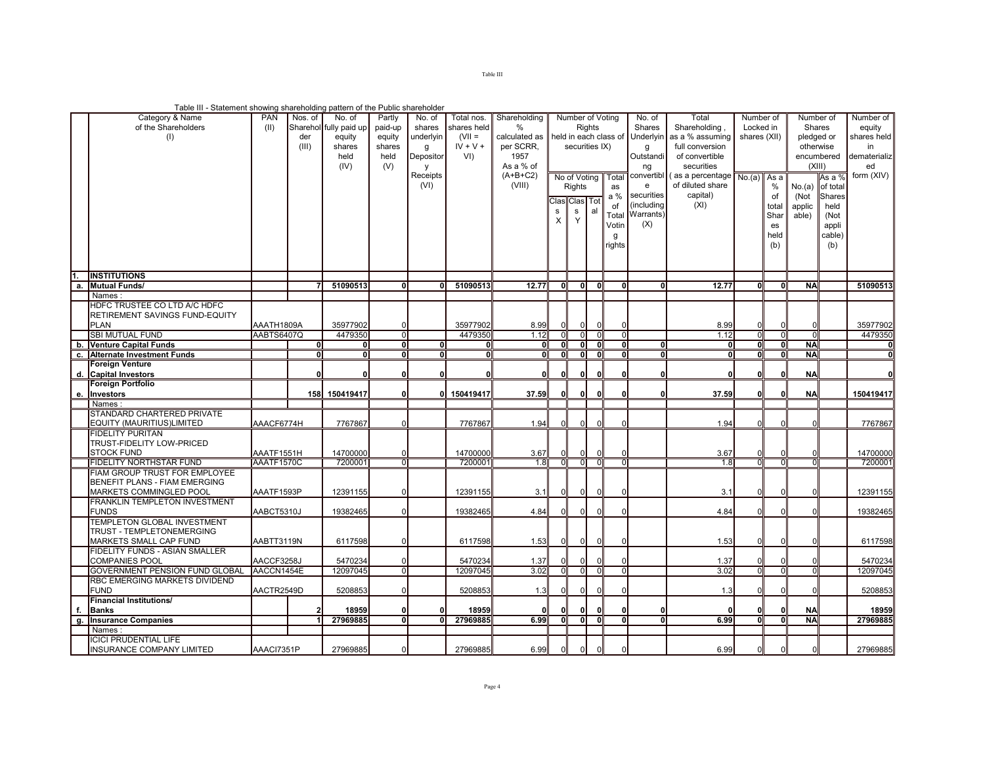Table III

Table III - Statement showing shareholding pattern of the Public shareholder

|             | Category & Name<br>of the Shareholders<br>(1)                                 | PAN<br>(11)              | Nos. of<br>der<br>(III) | No. of<br>Sharehol fully paid up<br>equity<br>shares<br>held<br>(IV) | Partly<br>paid-up<br>equity<br>shares<br>held<br>(V) | No. of<br>shares<br>underlyin<br>g<br>Depositor<br>v<br>Receipts<br>(VI) | Total nos.<br>shares held<br>$(VII =$<br>$IV + V +$<br>VI) | Shareholding<br>$\%$<br>calculated as<br>per SCRR.<br>1957<br>As a % of<br>$(A+B+C2)$<br>(VIII) |                         | Number of Voting<br><b>Rights</b><br>held in each class of<br>securities IX)<br>No of Voting<br>Total |              |                                              | No. of<br>Shares<br>Underlyin<br>g<br>Outstandi<br>ng<br>e | Total<br>Shareholding<br>as a % assuming<br>full conversion<br>of convertible<br>securities<br>convertibl (as a percentage<br>of diluted share | Number of<br>Locked in<br>shares (XII)<br>No.(a)<br>As a<br>$\%$ |                         | Number of<br>Shares<br>pledged or<br>otherwise<br>encumbered<br>(XIII)<br>As a %<br>No.(a)<br>of total |  | Number of<br>equity<br>shares held<br>in<br>dematerializ<br>ed<br>form (XIV) |
|-------------|-------------------------------------------------------------------------------|--------------------------|-------------------------|----------------------------------------------------------------------|------------------------------------------------------|--------------------------------------------------------------------------|------------------------------------------------------------|-------------------------------------------------------------------------------------------------|-------------------------|-------------------------------------------------------------------------------------------------------|--------------|----------------------------------------------|------------------------------------------------------------|------------------------------------------------------------------------------------------------------------------------------------------------|------------------------------------------------------------------|-------------------------|--------------------------------------------------------------------------------------------------------|--|------------------------------------------------------------------------------|
|             | <b>INSTITUTIONS</b>                                                           |                          |                         |                                                                      |                                                      |                                                                          |                                                            |                                                                                                 | s<br>$\times$           | Rights<br>as<br>a %<br>Clas Clas Tot<br>of<br>s<br>al<br>Total<br>Y<br>Votin<br>g<br>rights           |              | securities<br>(including<br>Warrants)<br>(X) | capital)<br>(XI)                                           |                                                                                                                                                | of<br>total<br>Shar<br>es<br>held<br>(b)                         | (Not<br>applic<br>able) | <b>Shares</b><br>held<br>(Not<br>appli<br>cable)<br>(b)                                                |  |                                                                              |
| a.          | <b>Mutual Funds/</b>                                                          |                          |                         | 51090513                                                             | $\overline{\mathbf{0}}$                              | $\Omega$                                                                 | 51090513                                                   | 12.77                                                                                           | $\overline{\mathbf{0}}$ | $\overline{\mathbf{0}}$                                                                               | 0l           | $\mathbf{0}$                                 |                                                            | 12.77                                                                                                                                          | O                                                                | Ō                       | <b>NA</b>                                                                                              |  | 51090513                                                                     |
|             | Names                                                                         |                          |                         |                                                                      |                                                      |                                                                          |                                                            |                                                                                                 |                         |                                                                                                       |              |                                              |                                                            |                                                                                                                                                |                                                                  |                         |                                                                                                        |  |                                                                              |
|             | HDFC TRUSTEE CO LTD A/C HDFC<br>RETIREMENT SAVINGS FUND-EQUITY<br><b>PLAN</b> |                          |                         |                                                                      |                                                      |                                                                          |                                                            |                                                                                                 |                         |                                                                                                       |              |                                              |                                                            |                                                                                                                                                |                                                                  |                         |                                                                                                        |  |                                                                              |
|             | <b>SBI MUTUAL FUND</b>                                                        | AAATH1809A<br>AABTS6407Q |                         | 35977902<br>4479350                                                  | 0<br>$\overline{0}$                                  |                                                                          | 35977902<br>4479350                                        | 8.99<br>1.12                                                                                    | $\mathbf 0$<br>$\Omega$ | $\mathbf{0}$<br>$\mathbf{0}$                                                                          | $\Omega$     | $\overline{0}$                               |                                                            | 8.99<br>1.12                                                                                                                                   | $\mathbf{0}$<br>$\overline{0}$                                   | ō                       | $\Omega$                                                                                               |  | 35977902<br>4479350                                                          |
|             | <b>Venture Capital Funds</b>                                                  |                          | O                       | $\mathbf 0$                                                          | $\overline{\mathbf{0}}$                              | $\mathbf{0}$                                                             |                                                            | 01                                                                                              | $\mathbf{0}$            | 01                                                                                                    | $\mathbf{0}$ | o                                            | $\Omega$                                                   |                                                                                                                                                | 0                                                                | 0                       | <b>NA</b>                                                                                              |  |                                                                              |
| b.<br>$-c.$ | <b>Alternate Investment Funds</b>                                             |                          | n                       | ᅁ                                                                    | ᅁ                                                    | ิง                                                                       |                                                            | $\overline{0}$                                                                                  | ᅙ                       | $\overline{\mathbf{0}}$                                                                               | ា            | ᅁ                                            | 0                                                          | $\overline{0}$                                                                                                                                 | Ō                                                                | Ō                       | <b>NA</b>                                                                                              |  | $\overline{0}$                                                               |
|             | Foreign Venture                                                               |                          |                         |                                                                      |                                                      |                                                                          |                                                            |                                                                                                 |                         |                                                                                                       |              |                                              |                                                            |                                                                                                                                                |                                                                  |                         |                                                                                                        |  |                                                                              |
|             | d. Capital Investors                                                          |                          |                         | $\mathbf{0}$                                                         | $\mathbf{0}$                                         | $\Omega$                                                                 |                                                            | 0                                                                                               | 0                       | 01                                                                                                    | $\mathbf{0}$ | $\mathbf{0}$                                 | $\Omega$                                                   |                                                                                                                                                | 0                                                                |                         | <b>NA</b>                                                                                              |  | $\Omega$                                                                     |
|             | Foreign Portfolio                                                             |                          |                         |                                                                      |                                                      |                                                                          |                                                            |                                                                                                 |                         |                                                                                                       |              |                                              |                                                            |                                                                                                                                                |                                                                  |                         |                                                                                                        |  |                                                                              |
| е.          | Investors                                                                     |                          |                         | 158 150419417                                                        | 0                                                    |                                                                          | 0 150419417                                                | 37.59                                                                                           | 0                       | 0                                                                                                     | ŋ            | $\mathbf{0}$                                 | $\Omega$                                                   | 37.59                                                                                                                                          | O.                                                               |                         | <b>NA</b>                                                                                              |  | 150419417                                                                    |
|             | Names                                                                         |                          |                         |                                                                      |                                                      |                                                                          |                                                            |                                                                                                 |                         |                                                                                                       |              |                                              |                                                            |                                                                                                                                                |                                                                  |                         |                                                                                                        |  |                                                                              |
|             | STANDARD CHARTERED PRIVATE                                                    |                          |                         |                                                                      |                                                      |                                                                          |                                                            |                                                                                                 |                         |                                                                                                       |              |                                              |                                                            |                                                                                                                                                |                                                                  |                         |                                                                                                        |  |                                                                              |
|             | EQUITY (MAURITIUS)LIMITED                                                     | AAACF6774H               |                         | 7767867                                                              | $\Omega$                                             |                                                                          | 7767867                                                    | 1.94                                                                                            | $\mathbf 0$             | $\Omega$                                                                                              |              |                                              |                                                            | 1.94                                                                                                                                           | $\Omega$                                                         |                         | $\Omega$                                                                                               |  | 7767867                                                                      |
|             | <b>FIDELITY PURITAN</b>                                                       |                          |                         |                                                                      |                                                      |                                                                          |                                                            |                                                                                                 |                         |                                                                                                       |              |                                              |                                                            |                                                                                                                                                |                                                                  |                         |                                                                                                        |  |                                                                              |
|             | TRUST-FIDELITY LOW-PRICED                                                     |                          |                         |                                                                      |                                                      |                                                                          |                                                            |                                                                                                 |                         |                                                                                                       |              |                                              |                                                            |                                                                                                                                                |                                                                  |                         |                                                                                                        |  |                                                                              |
|             | <b>STOCK FUND</b>                                                             | AAATF1551H               |                         | 14700000                                                             |                                                      |                                                                          | 14700000                                                   | 3.67                                                                                            |                         | $\mathbf{0}$                                                                                          |              |                                              |                                                            | 3.67                                                                                                                                           | U                                                                |                         |                                                                                                        |  | 14700000                                                                     |
|             | <b>FIDELITY NORTHSTAR FUND</b>                                                | AAATF1570C               |                         | 7200001                                                              | $\overline{0}$                                       |                                                                          | 720000                                                     | 1.8                                                                                             | $\overline{0}$          | $\overline{0}$                                                                                        | n            | $\mathbf 0$                                  |                                                            | 1.8                                                                                                                                            | $\overline{0}$                                                   | $\overline{0}$          | $\overline{0}$                                                                                         |  | 7200001                                                                      |
|             | FIAM GROUP TRUST FOR EMPLOYEE<br>BENEFIT PLANS - FIAM EMERGING                |                          |                         |                                                                      |                                                      |                                                                          |                                                            |                                                                                                 |                         |                                                                                                       |              |                                              |                                                            |                                                                                                                                                |                                                                  |                         |                                                                                                        |  |                                                                              |
|             |                                                                               |                          |                         |                                                                      |                                                      |                                                                          |                                                            |                                                                                                 |                         |                                                                                                       |              |                                              |                                                            |                                                                                                                                                |                                                                  |                         |                                                                                                        |  |                                                                              |
|             |                                                                               |                          |                         |                                                                      | $\Omega$                                             |                                                                          |                                                            |                                                                                                 |                         |                                                                                                       |              |                                              |                                                            |                                                                                                                                                | $\Omega$                                                         |                         | $\Omega$                                                                                               |  |                                                                              |
|             | MARKETS COMMINGLED POOL                                                       | AAATF1593P               |                         | 12391155                                                             |                                                      |                                                                          | 12391155                                                   | 3.1                                                                                             | $\Omega$                | $\Omega$                                                                                              |              |                                              |                                                            | 3.1                                                                                                                                            |                                                                  |                         |                                                                                                        |  | 12391155                                                                     |
|             | <b>FRANKLIN TEMPLETON INVESTMENT</b><br><b>FUNDS</b>                          | AABCT5310J               |                         | 19382465                                                             | $\Omega$                                             |                                                                          | 19382465                                                   | 4.84                                                                                            |                         | $\Omega$                                                                                              |              |                                              |                                                            | 4.84                                                                                                                                           | <sup>n</sup>                                                     |                         | $\Omega$                                                                                               |  |                                                                              |
|             | <b>TEMPLETON GLOBAL INVESTMENT</b>                                            |                          |                         |                                                                      |                                                      |                                                                          |                                                            |                                                                                                 |                         |                                                                                                       |              |                                              |                                                            |                                                                                                                                                |                                                                  |                         |                                                                                                        |  | 19382465                                                                     |
|             | TRUST - TEMPLETONEMERGING                                                     |                          |                         |                                                                      |                                                      |                                                                          |                                                            |                                                                                                 |                         |                                                                                                       |              |                                              |                                                            |                                                                                                                                                |                                                                  |                         |                                                                                                        |  |                                                                              |
|             | MARKETS SMALL CAP FUND                                                        | AABTT3119N               |                         | 6117598                                                              |                                                      |                                                                          | 6117598                                                    | 1.53                                                                                            | $\Omega$                | $\Omega$                                                                                              |              |                                              |                                                            | 1.53                                                                                                                                           | $\Omega$                                                         |                         | $\Omega$                                                                                               |  | 6117598                                                                      |
|             | FIDELITY FUNDS - ASIAN SMALLER                                                |                          |                         |                                                                      |                                                      |                                                                          |                                                            |                                                                                                 |                         |                                                                                                       |              |                                              |                                                            |                                                                                                                                                |                                                                  |                         |                                                                                                        |  |                                                                              |
|             | <b>COMPANIES POOL</b>                                                         | AACCF3258J               |                         | 5470234                                                              | $\Omega$                                             |                                                                          | 5470234                                                    | 1.37                                                                                            |                         | $\mathbf{0}$                                                                                          |              |                                              |                                                            | 1.37                                                                                                                                           | U                                                                |                         | $\Omega$                                                                                               |  | 5470234                                                                      |
|             | GOVERNMENT PENSION FUND GLOBAL                                                | AACCN1454E               |                         | 12097045                                                             | ō                                                    |                                                                          | 1209704                                                    | 3.02                                                                                            | $\overline{0}$          | $\overline{0}$                                                                                        | $\Omega$     | ō                                            |                                                            | 3.02                                                                                                                                           | $\overline{0}$                                                   | $\overline{0}$          | $\overline{0}$                                                                                         |  | 12097045                                                                     |
|             | RBC EMERGING MARKETS DIVIDEND                                                 |                          |                         |                                                                      |                                                      |                                                                          |                                                            |                                                                                                 |                         |                                                                                                       |              |                                              |                                                            |                                                                                                                                                |                                                                  |                         |                                                                                                        |  |                                                                              |
|             | <b>FUND</b>                                                                   | AACTR2549D               |                         | 5208853                                                              | $\Omega$                                             |                                                                          | 5208853                                                    | 1.3                                                                                             |                         | U                                                                                                     |              |                                              |                                                            | 1.3                                                                                                                                            | U                                                                |                         |                                                                                                        |  | 5208853                                                                      |
|             | <b>Financial Institutions/</b>                                                |                          |                         |                                                                      |                                                      |                                                                          |                                                            |                                                                                                 |                         |                                                                                                       |              |                                              |                                                            |                                                                                                                                                |                                                                  |                         |                                                                                                        |  |                                                                              |
| f.          | <b>Banks</b>                                                                  |                          |                         | 18959                                                                | 0                                                    | $\mathbf{0}$                                                             | 18959                                                      |                                                                                                 |                         | $\mathbf{0}$                                                                                          |              | $\mathbf{0}$                                 | $\Omega$                                                   |                                                                                                                                                | 0                                                                |                         | <b>NA</b>                                                                                              |  | 18959                                                                        |
| $g$ .       | <b>Insurance Companies</b>                                                    |                          |                         | 27969885                                                             | $\overline{\mathbf{0}}$                              | $\overline{0}$                                                           | 27969885                                                   | 6.99                                                                                            | $\overline{0}$          | $\overline{\mathbf{d}}$                                                                               | 0            | $\overline{0}$                               | $\mathbf{0}$                                               | 6.99                                                                                                                                           | $\overline{0}$                                                   | $\mathbf{0}$            | <b>NA</b>                                                                                              |  | 27969885                                                                     |
|             | Names<br><b>ICICI PRUDENTIAL LIFE</b>                                         |                          |                         |                                                                      |                                                      |                                                                          |                                                            |                                                                                                 |                         |                                                                                                       |              |                                              |                                                            |                                                                                                                                                |                                                                  |                         |                                                                                                        |  |                                                                              |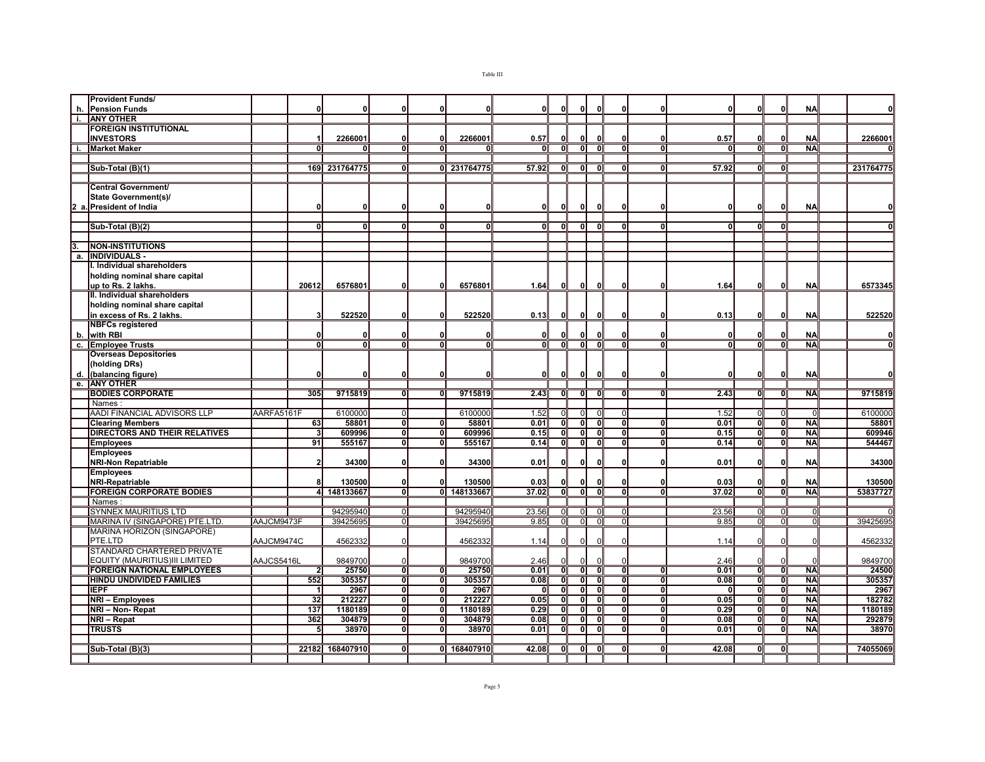|                  | <b>Provident Funds/</b>              |            |                |               |                         |                         |             |       |                         |                         |                         |                         |                |       |                           |              |           |           |
|------------------|--------------------------------------|------------|----------------|---------------|-------------------------|-------------------------|-------------|-------|-------------------------|-------------------------|-------------------------|-------------------------|----------------|-------|---------------------------|--------------|-----------|-----------|
|                  | h. Pension Funds                     |            | U              | 0             | 0I                      | O                       |             | οI    | n                       |                         |                         | O                       |                |       | O                         | 0            | <b>NA</b> | 0         |
|                  | <b>ANY OTHER</b>                     |            |                |               |                         |                         |             |       |                         |                         |                         |                         |                |       |                           |              |           |           |
|                  | <b>FOREIGN INSTITUTIONAL</b>         |            |                |               |                         |                         |             |       |                         |                         |                         |                         |                |       |                           |              |           |           |
|                  | <b>INVESTORS</b>                     |            | $\mathbf{1}$   | 2266001       | οI                      | $\Omega$                | 2266001     | 0.57  |                         | n                       | O                       | $\mathbf{0}$            | O              | 0.57  | 0                         | $\mathbf{0}$ | <b>NA</b> | 2266001   |
|                  | <b>Market Maker</b>                  |            | U              |               | ΩI                      |                         |             | n     | 70                      | ΩI                      | <sup>0</sup>            | n                       | n              |       | $\overline{0}$            | ō            | <b>NA</b> | ΩI        |
|                  |                                      |            |                |               |                         |                         |             |       |                         |                         |                         |                         |                |       |                           |              |           |           |
|                  | Sub-Total (B)(1)                     |            |                | 169 231764775 | ΩI                      |                         | 0 231764775 | 57.92 | n                       | $\mathbf{0}$            | n                       | 70                      | O              | 57.92 | ᅁ                         | ō            |           | 231764775 |
|                  |                                      |            |                |               |                         |                         |             |       |                         |                         |                         |                         |                |       |                           |              |           |           |
|                  | <b>Central Government/</b>           |            |                |               |                         |                         |             |       |                         |                         |                         |                         |                |       |                           |              |           |           |
|                  | State Government(s)/                 |            |                |               |                         |                         |             |       |                         |                         |                         |                         |                |       |                           |              |           |           |
|                  | 2 a. President of India              |            | 0              | 0             | οl                      | $\Omega$                |             | 0     | $\mathbf{0}$            | 0                       |                         | $\mathbf{0}$            | $\mathbf{0}$   |       | $\mathbf{0}$              | $\mathbf{0}$ | <b>NA</b> | 0l        |
|                  |                                      |            |                |               |                         |                         |             |       |                         |                         |                         |                         |                |       |                           |              |           |           |
|                  | Sub-Total (B)(2)                     |            | n              | 0             | ΩI                      | Û                       | ΩI          | 01    | $\Omega$                | 01                      | $\Omega$                | $\Omega$                | O              | ΩI    | 0                         | $\Omega$     |           | 0l        |
|                  |                                      |            |                |               |                         |                         |             |       |                         |                         |                         |                         |                |       |                           |              |           |           |
|                  |                                      |            |                |               |                         |                         |             |       |                         |                         |                         |                         |                |       |                           |              |           |           |
| 3.               | <b>NON-INSTITUTIONS</b>              |            |                |               |                         |                         |             |       |                         |                         |                         |                         |                |       |                           |              |           |           |
| a.               | <b>INDIVIDUALS -</b>                 |            |                |               |                         |                         |             |       |                         |                         |                         |                         |                |       |                           |              |           |           |
|                  | I. Individual shareholders           |            |                |               |                         |                         |             |       |                         |                         |                         |                         |                |       |                           |              |           |           |
|                  | holding nominal share capital        |            |                |               |                         |                         |             |       |                         |                         |                         |                         |                |       |                           |              |           |           |
|                  | up to Rs. 2 lakhs.                   |            | 20612          | 6576801       | 0I                      | $\mathbf{0}$            | 6576801     | 1.64  | 0                       | 0l                      | 0                       | O                       |                | 1.64  | 0                         | 0l           | <b>NA</b> | 6573345   |
|                  | II. Individual shareholders          |            |                |               |                         |                         |             |       |                         |                         |                         |                         |                |       |                           |              |           |           |
|                  | holding nominal share capital        |            |                |               |                         |                         |             |       |                         |                         |                         |                         |                |       |                           |              |           |           |
|                  | in excess of Rs. 2 lakhs.            |            | 3              | 522520        | 0                       | $\Omega$                | 522520      | 0.13  | 0                       | 0l                      | ŋ                       | $\mathbf{0}$            | n              | 0.13  | 0                         | 0            | <b>NA</b> | 522520    |
|                  | <b>NBFCs registered</b>              |            |                |               |                         |                         |             |       |                         |                         |                         |                         |                |       |                           |              |           |           |
| b.               | with RBI                             |            | 0              | 0             | 0l                      | $\Omega$                | $\Omega$    | οI    | $\Omega$                | $\Omega$                | ŋ                       | O                       | C              | 0     | O                         | $\mathbf{0}$ | <b>NA</b> | 0         |
| $\overline{c}$ . | <b>Employee Trusts</b>               |            | ᅁ              | o             | οI                      | o                       | οI          | οI    | o                       | $\overline{\mathbf{0}}$ | $\overline{0}$          | o                       | $\Omega$       | 01    | $\overline{\mathbf{0}}$   | ิงเ          | <b>NA</b> | ō         |
|                  | <b>Overseas Depositories</b>         |            |                |               |                         |                         |             |       |                         |                         |                         |                         |                |       |                           |              |           |           |
|                  | (holding DRs)                        |            |                |               |                         |                         |             |       |                         |                         |                         |                         |                |       |                           |              |           |           |
|                  | d. (balancing figure)                |            | O              | O             | οl                      | $\mathbf{0}$            |             | οI    | 0                       | οI                      | 0                       | $\mathbf{0}$            |                |       | 0                         | $\mathbf{0}$ | <b>NA</b> | 0         |
| Гe.              | <b>JANY OTHER</b>                    |            |                |               |                         |                         |             |       |                         |                         |                         |                         |                |       |                           |              |           |           |
|                  | <b>BODIES CORPORATE</b>              |            | 305            | 9715819       | $\overline{0}$          | $\overline{0}$          | 9715819     | 2.43  | $\overline{\mathbf{0}}$ | οT                      | $\overline{0}$          | $\overline{0}$          | $\overline{0}$ | 2.43  | $\overline{\mathbf{0}}$   | ิด           | <b>NA</b> | 9715819   |
|                  | Names                                |            |                |               |                         |                         |             |       |                         |                         |                         |                         |                |       |                           |              |           |           |
|                  | AADI FINANCIAL ADVISORS LLP          | AARFA5161F |                | 6100000       | $\Omega$                |                         | 6100000     | 1.52  | $\sqrt{ }$              | $\Omega$                | n                       | $\Omega$                |                | 1.52  | $\overline{0}$            | $\Omega$     | $\Omega$  | 6100000   |
|                  | <b>Clearing Members</b>              |            | 63             | 58801         | $\overline{\mathbf{0}}$ | Ō                       | 58801       | 0.01  | ō                       | ᅁ                       | Э                       | Ō                       | O              | 0.01  | $\overline{\mathbf{0}}$   | ᄀ            | <b>NA</b> | 58801     |
|                  | <b>DIRECTORS AND THEIR RELATIVES</b> |            | 3              | 609996        | οI                      | $\overline{\mathbf{0}}$ | 609996      | 0.15  | $\overline{\mathbf{0}}$ | ग                       | $\overline{\mathbf{0}}$ | $\overline{\mathbf{0}}$ | $\Omega$       | 0.15  | ᅁ                         | ō            | <b>NA</b> | 609946    |
|                  | <b>Employees</b>                     |            | 91             | 555167        | ग                       | $\overline{0}$          | 555167      | 0.14  | ᅁ                       | ग                       | ᅁ                       | 0                       | $\overline{0}$ | 0.14  | $\overline{\mathfrak{o}}$ | ᅁ            | <b>NA</b> | 544467    |
|                  | <b>Employees</b>                     |            |                |               |                         |                         |             |       |                         |                         |                         |                         |                |       |                           |              |           |           |
|                  | <b>NRI-Non Repatriable</b>           |            | 2              | 34300         | 0l                      | $\Omega$                | 34300       | 0.01  | $\Omega$                | $\Omega$                | $\Omega$                | O                       |                | 0.01  | 0                         | $\mathbf{0}$ | <b>NA</b> | 34300     |
|                  |                                      |            |                |               |                         |                         |             |       |                         |                         |                         |                         |                |       |                           |              |           |           |
|                  | <b>Employees</b>                     |            |                |               |                         |                         |             |       | n                       |                         |                         |                         |                |       |                           |              |           |           |
|                  | <b>NRI-Repatriable</b>               |            | 8              | 130500        | 0I                      | $\mathbf{0}$            | 130500      | 0.03  |                         | n                       |                         | O                       | n<br>O         | 0.03  | 0                         | $\Omega$     | <b>NA</b> | 130500    |
|                  | <b>FOREIGN CORPORATE BODIES</b>      |            |                | 4 148133667   | $\overline{\mathbf{0}}$ | $\overline{0}$          | 148133667   | 37.02 | $\overline{\mathbf{0}}$ | $\overline{\mathbf{0}}$ | $\overline{0}$          | $\overline{0}$          |                | 37.02 | $\overline{\mathbf{0}}$   | $\bullet$    | <b>NA</b> | 53837727  |
|                  | <b>Names</b>                         |            |                |               |                         |                         |             |       |                         |                         |                         |                         |                |       |                           |              |           |           |
|                  | <b>SYNNEX MAURITIUS LTD</b>          |            |                | 94295940      | $\Omega$                |                         | 94295940    | 23.56 | $\overline{0}$          | $\Omega$                |                         |                         |                | 23.56 |                           | $\Omega$     |           |           |
|                  | MARINA IV (SINGAPORE) PTE.LTD.       | AAJCM9473F |                | 39425695      | $\overline{0}$          |                         | 39425695    | 9.85  | $\Omega$                | $\Omega$                | $\Omega$                | $\overline{0}$          |                | 9.85  | $\Omega$                  | $\Omega$     | $\Omega$  | 39425695  |
|                  | MARINA HORIZON (SINGAPORE)           |            |                |               |                         |                         |             |       |                         |                         |                         |                         |                |       |                           |              |           |           |
|                  | PTE.LTD                              | AAJCM9474C |                | 4562332       | $\Omega$                |                         | 4562332     | 1.14  | $\Omega$                | $\Omega$                |                         | ſ                       |                | 1.14  | $\Omega$                  |              |           | 4562332   |
|                  | STANDARD CHARTERED PRIVATE           |            |                |               |                         |                         |             |       |                         |                         |                         |                         |                |       |                           |              |           |           |
|                  | EQUITY (MAURITIUS)III LIMITED        | AAJCS5416L |                | 9849700       | $\mathbf{0}$            |                         | 9849700     | 2.46  |                         |                         |                         | C                       |                | 2.46  | $\Omega$                  |              |           | 9849700   |
|                  | <b>FOREIGN NATIONAL EMPLOYEES</b>    |            | $\overline{2}$ | 25750         | $\overline{0}$          | $\Omega$                | 25750       | 0.01  | $\mathbf{0}$            | $\overline{0}$          | $\mathbf{0}$            | $\overline{0}$          | n              | 0.01  | $\overline{0}$            | ō            | <b>NA</b> | 24500     |
|                  | <b>HINDU UNDIVIDED FAMILIES</b>      |            | 552            | 305357        | ᅁ                       | $\mathbf{0}$            | 305357      | 0.08  | ᠗                       | ᅁ                       | $\mathbf{0}$            | ᠗                       | $\mathbf{0}$   | 0.08  | $\overline{\mathbf{0}}$   | Ō            | <b>NA</b> | 305357    |
|                  | <b>IEPF</b>                          |            | $\mathbf{1}$   | 2967          | ण                       | ᠗                       | 2967        | 0     | ō                       | $\overline{\mathbf{0}}$ | $\overline{0}$          | ᅁ                       | $\overline{0}$ | -01   | ᅁ                         | ิงเ          | <b>NA</b> | 2967      |
|                  | NRI - Employees                      |            | 32             | 212227        | οI                      | ō                       | 212227      | 0.05  | ō                       | ᅁ                       | $\overline{0}$          | Ō                       | $\overline{0}$ | 0.05  | $\overline{0}$            | ิง           | <b>NA</b> | 182782    |
|                  | NRI - Non- Repat                     |            | 137            | 1180189       | οI                      | ō                       | 1180189     | 0.29  | $\overline{\mathbf{0}}$ | $\overline{\mathbf{0}}$ | $\overline{0}$          | $\overline{\mathbf{0}}$ | $\overline{0}$ | 0.29  | $\overline{0}$            | ō            | <b>NA</b> | 1180189   |
|                  | NRI - Repat                          |            | 362            | 304879        | σI                      | $\Omega$                | 304879      | 0.08  | ō                       | $\overline{\mathbf{0}}$ | $\overline{0}$          | Э                       | $\Omega$       | 0.08  | $\overline{0}$            | ō            | <b>NA</b> | 292879    |
|                  | <b>TRUSTS</b>                        |            | 5              | 38970         | $\overline{0}$          | o                       | 38970       | 0.01  | o                       | $\mathbf{0}$            | $\overline{0}$          | $\overline{0}$          | 0              | 0.01  | $\overline{0}$            | ō            | <b>NA</b> | 38970     |
|                  |                                      |            |                |               |                         |                         |             |       |                         |                         |                         |                         |                |       |                           |              |           |           |
|                  |                                      |            |                |               |                         |                         |             |       |                         |                         |                         |                         |                |       |                           |              |           |           |
|                  | Sub-Total (B)(3)                     |            | 22182          | 168407910     | ΩI                      |                         | 0 168407910 | 42.08 | $\mathbf{0}$            | 01                      | ŋ                       |                         |                | 42.08 | 0                         | $\Omega$     |           | 74055069  |

Page 5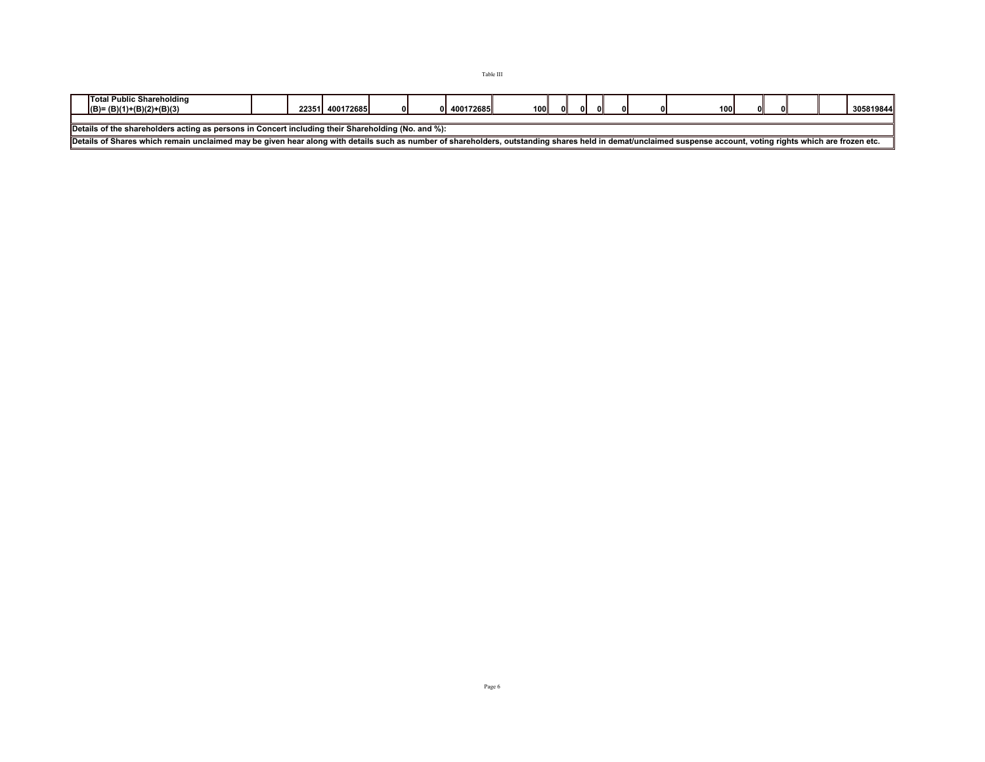| Total Public Shareholding<br>$(B)=(B)(1)+(B)(2)+(B)(3)$                                                                                                                                                        |  |  | 22351 400172685 | οI |  | 400172685 | 100 |  | ΩL | ΩI | 01 |  | <b>100</b> |  |  | 305819844 |
|----------------------------------------------------------------------------------------------------------------------------------------------------------------------------------------------------------------|--|--|-----------------|----|--|-----------|-----|--|----|----|----|--|------------|--|--|-----------|
|                                                                                                                                                                                                                |  |  |                 |    |  |           |     |  |    |    |    |  |            |  |  |           |
| Details of the shareholders acting as persons in Concert including their Shareholding (No. and %):                                                                                                             |  |  |                 |    |  |           |     |  |    |    |    |  |            |  |  |           |
| Details of Shares which remain unclaimed may be given hear along with details such as number of shareholders, outstanding shares held in demat/unclaimed suspense account, voting rights which are frozen etc. |  |  |                 |    |  |           |     |  |    |    |    |  |            |  |  |           |